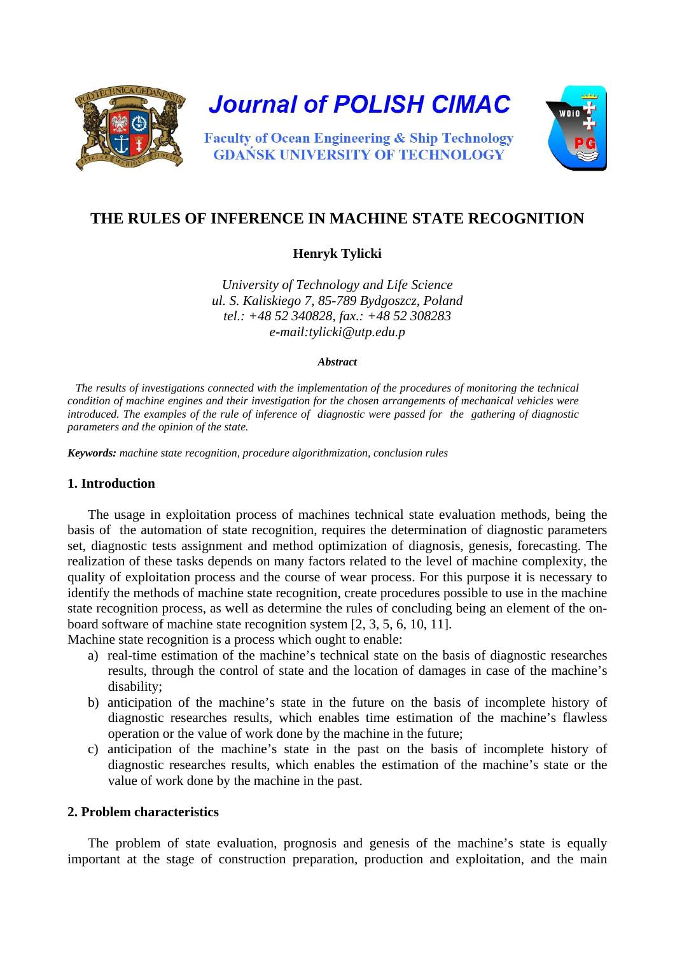

**Journal of POLISH CIMAC** 



**Faculty of Ocean Engineering & Ship Technology GDAŃSK UNIVERSITY OF TECHNOLOGY** 

# **THE RULES OF INFERENCE IN MACHINE STATE RECOGNITION**

**Henryk Tylicki**

*University of Technology and Life Science ul. S. Kaliskiego 7, 85-789 Bydgoszcz, Poland tel.: +48 52 340828, fax.: +48 52 308283 e-mail:tylicki@utp.edu.p* 

#### *Abstract*

*The results of investigations connected with the implementation of the procedures of monitoring the technical condition of machine engines and their investigation for the chosen arrangements of mechanical vehicles were introduced. The examples of the rule of inference of diagnostic were passed for the gathering of diagnostic parameters and the opinion of the state.*

*Keywords: machine state recognition, procedure algorithmization, conclusion rules*

# **1. Introduction**

The usage in exploitation process of machines technical state evaluation methods, being the basis of the automation of state recognition, requires the determination of diagnostic parameters set, diagnostic tests assignment and method optimization of diagnosis, genesis, forecasting. The realization of these tasks depends on many factors related to the level of machine complexity, the quality of exploitation process and the course of wear process. For this purpose it is necessary to identify the methods of machine state recognition, create procedures possible to use in the machine state recognition process, as well as determine the rules of concluding being an element of the onboard software of machine state recognition system [2, 3, 5, 6, 10, 11].

Machine state recognition is a process which ought to enable:

- a) real-time estimation of the machine's technical state on the basis of diagnostic researches results, through the control of state and the location of damages in case of the machine's disability;
- b) anticipation of the machine's state in the future on the basis of incomplete history of diagnostic researches results, which enables time estimation of the machine's flawless operation or the value of work done by the machine in the future;
- c) anticipation of the machine's state in the past on the basis of incomplete history of diagnostic researches results, which enables the estimation of the machine's state or the value of work done by the machine in the past.

# **2. Problem characteristics**

The problem of state evaluation, prognosis and genesis of the machine's state is equally important at the stage of construction preparation, production and exploitation, and the main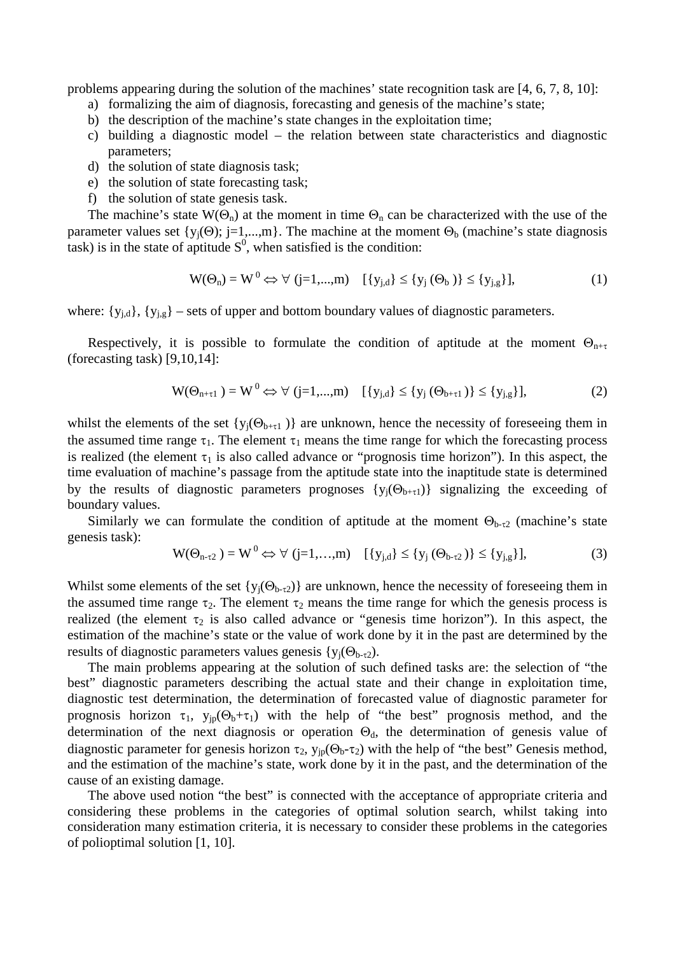problems appearing during the solution of the machines' state recognition task are [4, 6, 7, 8, 10]:

- a) formalizing the aim of diagnosis, forecasting and genesis of the machine's state;
- b) the description of the machine's state changes in the exploitation time;
- c) building a diagnostic model the relation between state characteristics and diagnostic parameters;
- d) the solution of state diagnosis task;
- e) the solution of state forecasting task;
- f) the solution of state genesis task.

The machine's state  $W(\Theta_n)$  at the moment in time  $\Theta_n$  can be characterized with the use of the parameter values set  $\{y_j(\Theta); j=1,...,m\}$ . The machine at the moment  $\Theta_b$  (machine's state diagnosis task) is in the state of aptitude  $S^0$ , when satisfied is the condition:

$$
W(\Theta_n) = W^0 \Leftrightarrow \forall (j=1,...,m) \quad [\{y_{j,d}\} \leq \{y_j(\Theta_b)\} \leq \{y_{j,g}\}],
$$
 (1)

where:  $\{y_{j,d}\}, \{y_{j,g}\}$  – sets of upper and bottom boundary values of diagnostic parameters.

Respectively, it is possible to formulate the condition of aptitude at the moment  $\Theta_{n+\tau}$ (forecasting task) [9,10,14]:

$$
W(\Theta_{n+\tau 1}) = W^0 \Leftrightarrow \forall (j=1,...,m) \quad [\{y_{j,d}\} \leq \{y_j(\Theta_{b+\tau 1})\} \leq \{y_{j,g}\}],
$$
 (2)

whilst the elements of the set  $\{y_j(\Theta_{b+\tau_1})\}$  are unknown, hence the necessity of foreseeing them in the assumed time range  $\tau_1$ . The element  $\tau_1$  means the time range for which the forecasting process is realized (the element  $\tau_1$  is also called advance or "prognosis time horizon"). In this aspect, the time evaluation of machine's passage from the aptitude state into the inaptitude state is determined by the results of diagnostic parameters prognoses  $\{y_i(\Theta_{b+\tau_1})\}$  signalizing the exceeding of boundary values.

Similarly we can formulate the condition of aptitude at the moment  $\Theta_{b-\tau^2}$  (machine's state genesis task):

$$
W(\Theta_{n-\tau_2}) = W^0 \Leftrightarrow \forall (j=1,...,m) \quad [\{y_{j,d}\} \le \{y_j(\Theta_{b-\tau_2})\} \le \{y_{j,g}\}],
$$
 (3)

Whilst some elements of the set  $\{y_i(\Theta_{b-t_1})\}$  are unknown, hence the necessity of foreseeing them in the assumed time range  $\tau_2$ . The element  $\tau_2$  means the time range for which the genesis process is realized (the element  $\tau_2$  is also called advance or "genesis time horizon"). In this aspect, the estimation of the machine's state or the value of work done by it in the past are determined by the results of diagnostic parameters values genesis  $\{y_i(\Theta_{b-\tau_2})\}$ .

The main problems appearing at the solution of such defined tasks are: the selection of "the best" diagnostic parameters describing the actual state and their change in exploitation time, diagnostic test determination, the determination of forecasted value of diagnostic parameter for prognosis horizon  $\tau_1$ ,  $y_{ip}(\Theta_b + \tau_1)$  with the help of "the best" prognosis method, and the determination of the next diagnosis or operation  $\Theta_d$ , the determination of genesis value of diagnostic parameter for genesis horizon  $\tau_2$ ,  $y_{jp}(\Theta_b-\tau_2)$  with the help of "the best" Genesis method, and the estimation of the machine's state, work done by it in the past, and the determination of the cause of an existing damage.

The above used notion "the best" is connected with the acceptance of appropriate criteria and considering these problems in the categories of optimal solution search, whilst taking into consideration many estimation criteria, it is necessary to consider these problems in the categories of polioptimal solution [1, 10].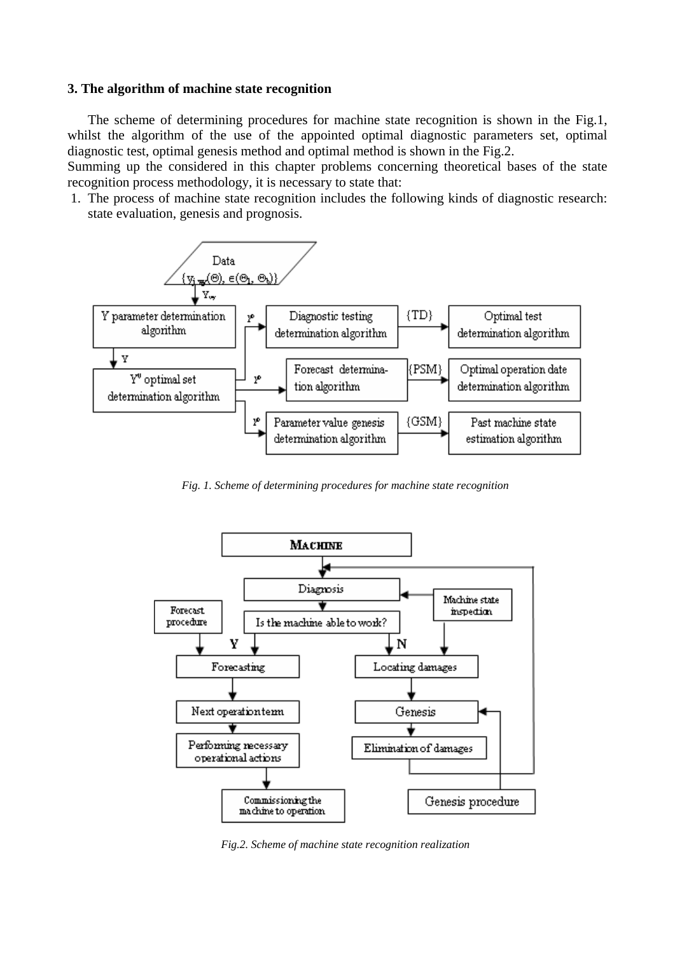#### **3. The algorithm of machine state recognition**

The scheme of determining procedures for machine state recognition is shown in the Fig.1, whilst the algorithm of the use of the appointed optimal diagnostic parameters set, optimal diagnostic test, optimal genesis method and optimal method is shown in the Fig.2.

Summing up the considered in this chapter problems concerning theoretical bases of the state recognition process methodology, it is necessary to state that:

1. The process of machine state recognition includes the following kinds of diagnostic research: state evaluation, genesis and prognosis.



*Fig. 1. Scheme of determining procedures for machine state recognition*



*Fig.2. Scheme of machine state recognition realization*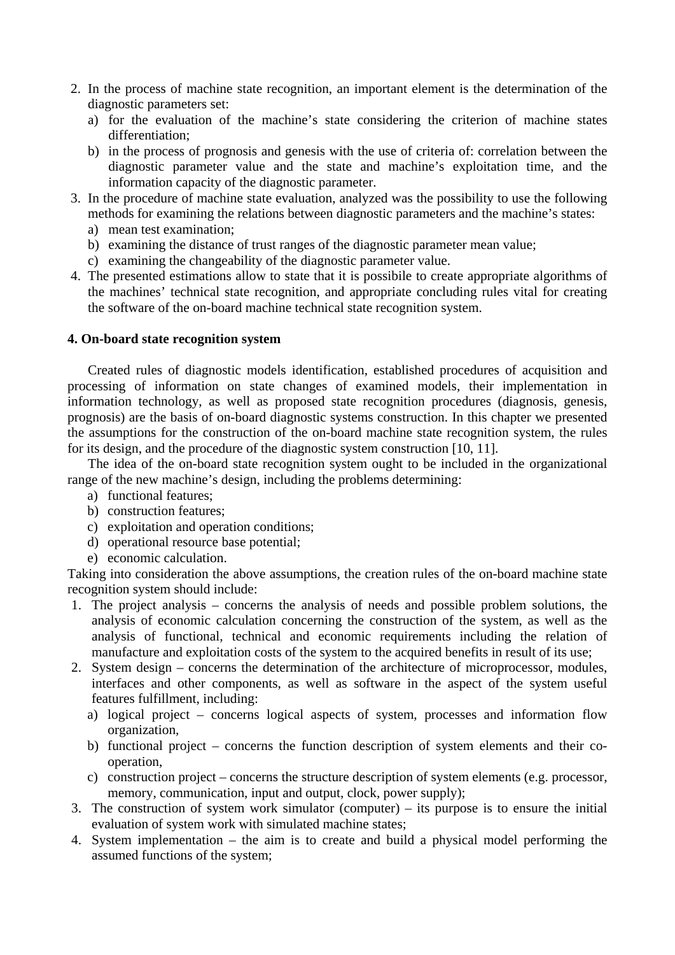- 2. In the process of machine state recognition, an important element is the determination of the diagnostic parameters set:
	- a) for the evaluation of the machine's state considering the criterion of machine states differentiation;
	- b) in the process of prognosis and genesis with the use of criteria of: correlation between the diagnostic parameter value and the state and machine's exploitation time, and the information capacity of the diagnostic parameter.
- 3. In the procedure of machine state evaluation, analyzed was the possibility to use the following methods for examining the relations between diagnostic parameters and the machine's states:
	- a) mean test examination;
	- b) examining the distance of trust ranges of the diagnostic parameter mean value;
	- c) examining the changeability of the diagnostic parameter value.
- 4. The presented estimations allow to state that it is possibile to create appropriate algorithms of the machines' technical state recognition, and appropriate concluding rules vital for creating the software of the on-board machine technical state recognition system.

### **4. On-board state recognition system**

Created rules of diagnostic models identification, established procedures of acquisition and processing of information on state changes of examined models, their implementation in information technology, as well as proposed state recognition procedures (diagnosis, genesis, prognosis) are the basis of on-board diagnostic systems construction. In this chapter we presented the assumptions for the construction of the on-board machine state recognition system, the rules for its design, and the procedure of the diagnostic system construction [10, 11].

The idea of the on-board state recognition system ought to be included in the organizational range of the new machine's design, including the problems determining:

- a) functional features;
- b) construction features;
- c) exploitation and operation conditions;
- d) operational resource base potential;
- e) economic calculation.

Taking into consideration the above assumptions, the creation rules of the on-board machine state recognition system should include:

- 1. The project analysis concerns the analysis of needs and possible problem solutions, the analysis of economic calculation concerning the construction of the system, as well as the analysis of functional, technical and economic requirements including the relation of manufacture and exploitation costs of the system to the acquired benefits in result of its use;
- 2. System design concerns the determination of the architecture of microprocessor, modules, interfaces and other components, as well as software in the aspect of the system useful features fulfillment, including:
	- a) logical project concerns logical aspects of system, processes and information flow organization,
	- b) functional project concerns the function description of system elements and their cooperation,
	- c) construction project concerns the structure description of system elements (e.g. processor, memory, communication, input and output, clock, power supply);
- 3. The construction of system work simulator (computer) its purpose is to ensure the initial evaluation of system work with simulated machine states;
- 4. System implementation the aim is to create and build a physical model performing the assumed functions of the system;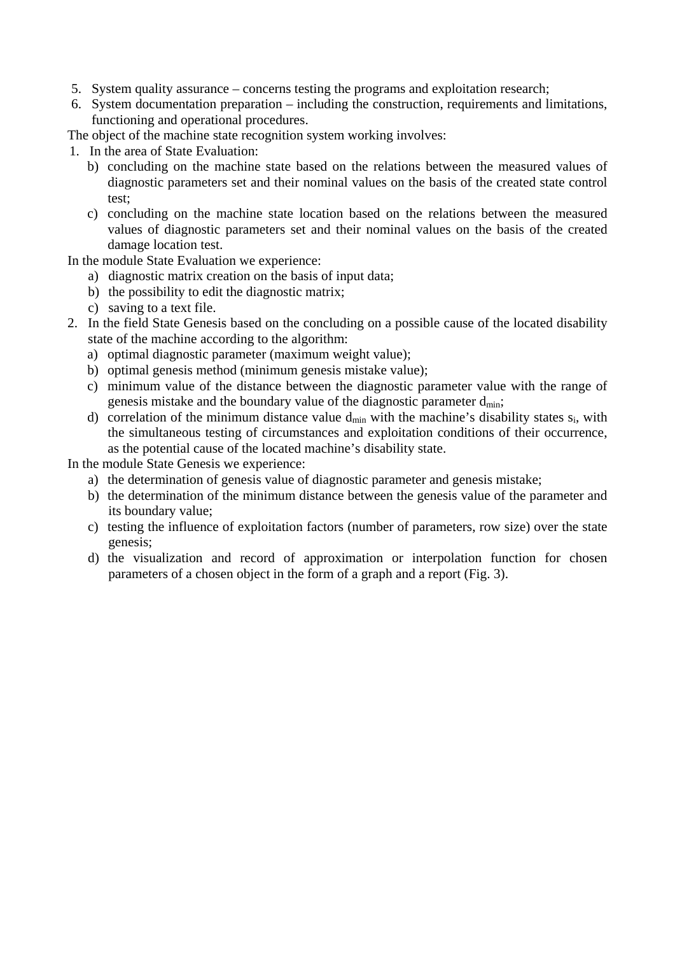- 5. System quality assurance concerns testing the programs and exploitation research;
- 6. System documentation preparation including the construction, requirements and limitations, functioning and operational procedures.

The object of the machine state recognition system working involves:

1. In the area of State Evaluation:

- b) concluding on the machine state based on the relations between the measured values of diagnostic parameters set and their nominal values on the basis of the created state control test;
- c) concluding on the machine state location based on the relations between the measured values of diagnostic parameters set and their nominal values on the basis of the created damage location test.

In the module State Evaluation we experience:

- a) diagnostic matrix creation on the basis of input data;
- b) the possibility to edit the diagnostic matrix;
- c) saving to a text file.
- 2. In the field State Genesis based on the concluding on a possible cause of the located disability state of the machine according to the algorithm:
	- a) optimal diagnostic parameter (maximum weight value);
	- b) optimal genesis method (minimum genesis mistake value);
	- c) minimum value of the distance between the diagnostic parameter value with the range of genesis mistake and the boundary value of the diagnostic parameter  $d_{\text{min}}$ ;
	- d) correlation of the minimum distance value  $d_{\min}$  with the machine's disability states  $s_i$ , with the simultaneous testing of circumstances and exploitation conditions of their occurrence, as the potential cause of the located machine's disability state.

In the module State Genesis we experience:

- a) the determination of genesis value of diagnostic parameter and genesis mistake;
- b) the determination of the minimum distance between the genesis value of the parameter and its boundary value;
- c) testing the influence of exploitation factors (number of parameters, row size) over the state genesis;
- d) the visualization and record of approximation or interpolation function for chosen parameters of a chosen object in the form of a graph and a report (Fig. 3).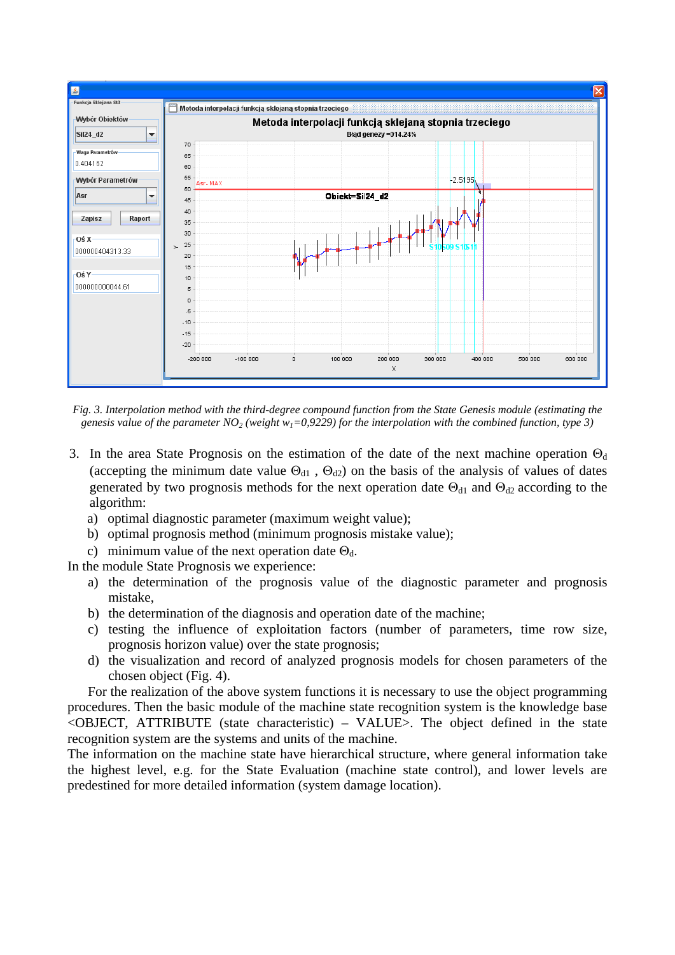

*Fig. 3. Interpolation method with the third-degree compound function from the State Genesis module (estimating the*  genesis value of the parameter  $NO<sub>2</sub>$  *(weight w<sub>1</sub>*=0,9229) for the interpolation with the combined function, type 3)

- 3. In the area State Prognosis on the estimation of the date of the next machine operation  $\Theta_d$ (accepting the minimum date value  $\Theta_{d1}$ ,  $\Theta_{d2}$ ) on the basis of the analysis of values of dates generated by two prognosis methods for the next operation date  $\Theta_{d1}$  and  $\Theta_{d2}$  according to the algorithm:
	- a) optimal diagnostic parameter (maximum weight value);
	- b) optimal prognosis method (minimum prognosis mistake value);
	- c) minimum value of the next operation date  $\Theta_d$ .

In the module State Prognosis we experience:

- a) the determination of the prognosis value of the diagnostic parameter and prognosis mistake,
- b) the determination of the diagnosis and operation date of the machine;
- c) testing the influence of exploitation factors (number of parameters, time row size, prognosis horizon value) over the state prognosis;
- d) the visualization and record of analyzed prognosis models for chosen parameters of the chosen object (Fig. 4).

For the realization of the above system functions it is necessary to use the object programming procedures. Then the basic module of the machine state recognition system is the knowledge base  $\leq$ OBJECT, ATTRIBUTE (state characteristic) – VALUE $>$ . The object defined in the state recognition system are the systems and units of the machine.

The information on the machine state have hierarchical structure, where general information take the highest level, e.g. for the State Evaluation (machine state control), and lower levels are predestined for more detailed information (system damage location).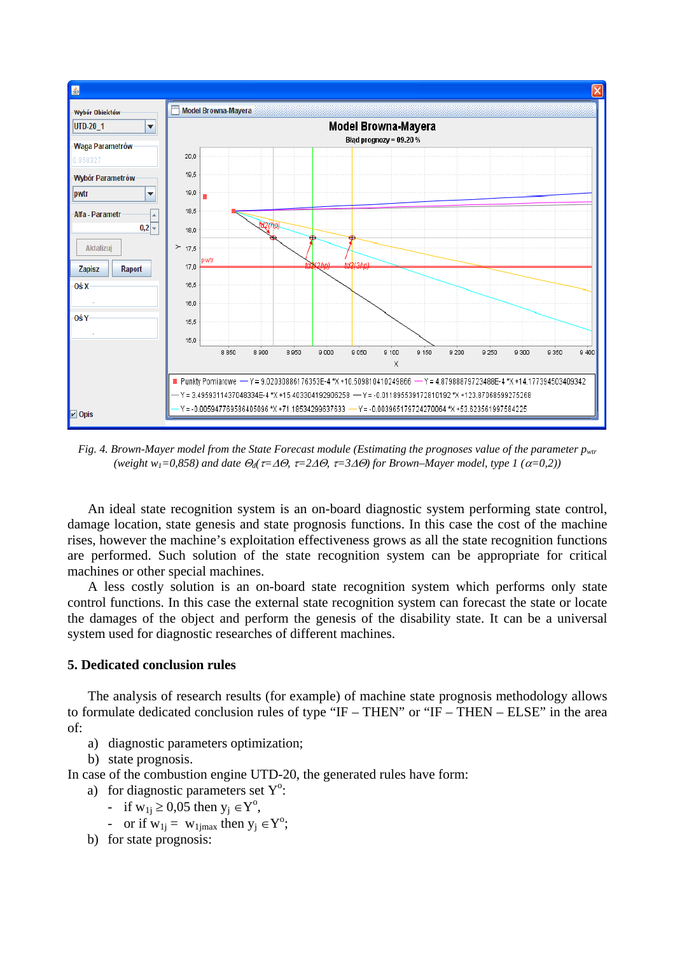

*Fig. 4. Brown-Mayer model from the State Forecast module (Estimating the prognoses value of the parameter pwtrastic matrice for the parameter pwtrastic matrice of the parameter pwtrastic matrice of the parameter pwtrastic (weight w1=0,858) and date* Θ*d(*τ*=*∆Θ*,* τ*=2*∆Θ*,* τ*=3*∆Θ*) for Brown–Mayer model, type 1 (*α*=0,2))*

An ideal state recognition system is an on-board diagnostic system performing state control, damage location, state genesis and state prognosis functions. In this case the cost of the machine rises, however the machine's exploitation effectiveness grows as all the state recognition functions are performed. Such solution of the state recognition system can be appropriate for critical machines or other special machines.

A less costly solution is an on-board state recognition system which performs only state control functions. In this case the external state recognition system can forecast the state or locate the damages of the object and perform the genesis of the disability state. It can be a universal system used for diagnostic researches of different machines.

#### **5. Dedicated conclusion rules**

The analysis of research results (for example) of machine state prognosis methodology allows to formulate dedicated conclusion rules of type "IF – THEN" or "IF – THEN – ELSE" in the area of:

- a) diagnostic parameters optimization;
- b) state prognosis.

In case of the combustion engine UTD-20, the generated rules have form:

- a) for diagnostic parameters set  $Y^{\circ}$ :
	- if  $w_{1j} \ge 0.05$  then  $y_j \in Y^0$ ,
	- or if  $w_{1j} = w_{1jmax}$  then  $y_j \in Y^0$ ;
- b) for state prognosis: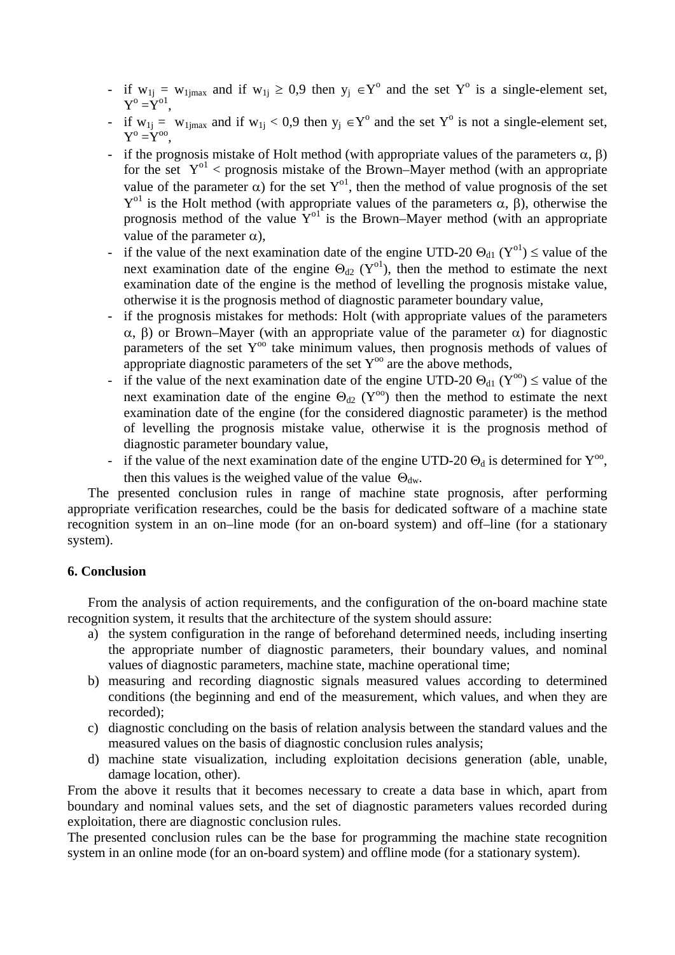- if  $w_{1j} = w_{1jmax}$  and if  $w_{1j} \ge 0.9$  then  $y_j \in Y^{\circ}$  and the set  $Y^{\circ}$  is a single-element set,  $Y^{\circ} = Y^{\circ 1}$ .
- if  $w_{1j} = w_{1jmax}$  and if  $w_{1j} < 0.9$  then  $y_j \in Y^{\circ}$  and the set  $Y^{\circ}$  is not a single-element set,  $Y^{\mathrm{o}} = Y^{\mathrm{oo}}$ .
- if the prognosis mistake of Holt method (with appropriate values of the parameters  $\alpha$ ,  $\beta$ ) for the set  $Y^{0}$  < prognosis mistake of the Brown–Mayer method (with an appropriate value of the parameter  $\alpha$ ) for the set Y<sup>o1</sup>, then the method of value prognosis of the set  $Y<sup>o1</sup>$  is the Holt method (with appropriate values of the parameters α, β), otherwise the prognosis method of the value  $Y^{01}$  is the Brown–Mayer method (with an appropriate value of the parameter  $\alpha$ ).
- if the value of the next examination date of the engine UTD-20  $\Theta_{d1}$  (Y<sup>o1</sup>)  $\leq$  value of the next examination date of the engine  $\Theta_{d2}$  (Y<sup>o1</sup>), then the method to estimate the next examination date of the engine is the method of levelling the prognosis mistake value, otherwise it is the prognosis method of diagnostic parameter boundary value,
- if the prognosis mistakes for methods: Holt (with appropriate values of the parameters α, β) or Brown–Mayer (with an appropriate value of the parameter α) for diagnostic parameters of the set  $Y^{oo}$  take minimum values, then prognosis methods of values of appropriate diagnostic parameters of the set  $Y^{oo}$  are the above methods,
- if the value of the next examination date of the engine UTD-20  $\Theta_{d1}$  (Y<sup>oo</sup>)  $\leq$  value of the next examination date of the engine  $\Theta_{d2}$  (Y<sup>oo</sup>) then the method to estimate the next examination date of the engine (for the considered diagnostic parameter) is the method of levelling the prognosis mistake value, otherwise it is the prognosis method of diagnostic parameter boundary value,
- if the value of the next examination date of the engine UTD-20  $\Theta_d$  is determined for  $Y^{oo}$ , then this values is the weighed value of the value  $\Theta_{dw}$ .

The presented conclusion rules in range of machine state prognosis, after performing appropriate verification researches, could be the basis for dedicated software of a machine state recognition system in an on–line mode (for an on-board system) and off–line (for a stationary system).

### **6. Conclusion**

From the analysis of action requirements, and the configuration of the on-board machine state recognition system, it results that the architecture of the system should assure:

- a) the system configuration in the range of beforehand determined needs, including inserting the appropriate number of diagnostic parameters, their boundary values, and nominal values of diagnostic parameters, machine state, machine operational time;
- b) measuring and recording diagnostic signals measured values according to determined conditions (the beginning and end of the measurement, which values, and when they are recorded);
- c) diagnostic concluding on the basis of relation analysis between the standard values and the measured values on the basis of diagnostic conclusion rules analysis;
- d) machine state visualization, including exploitation decisions generation (able, unable, damage location, other).

From the above it results that it becomes necessary to create a data base in which, apart from boundary and nominal values sets, and the set of diagnostic parameters values recorded during exploitation, there are diagnostic conclusion rules.

The presented conclusion rules can be the base for programming the machine state recognition system in an online mode (for an on-board system) and offline mode (for a stationary system).